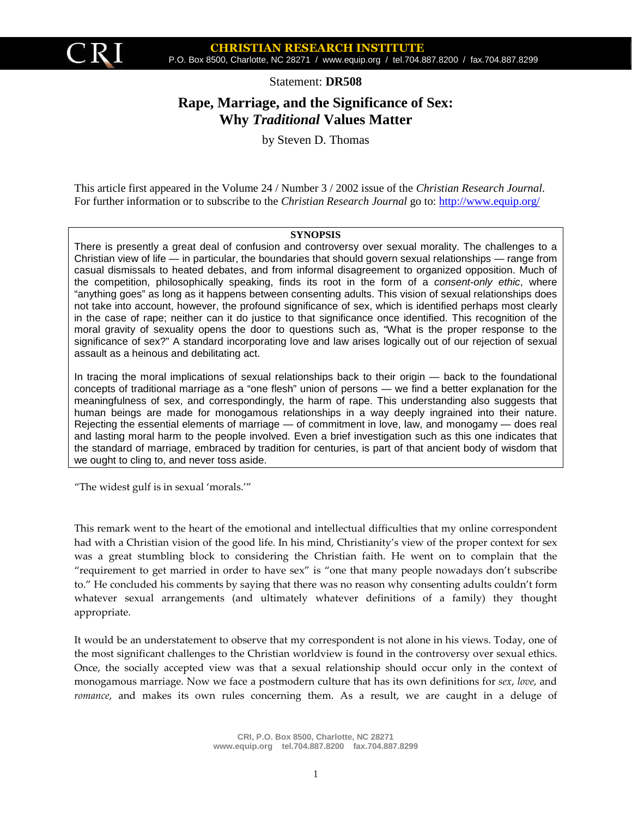

Statement: **DR508**

# **Rape, Marriage, and the Significance of Sex: Why** *Traditional* **Values Matter**

by Steven D. Thomas

This article first appeared in the Volume 24 / Number 3 / 2002 issue of the *Christian Research Journal.* For further information or to subscribe to the *Christian Research Journal* go to: <http://www.equip.org/>

#### **SYNOPSIS**

There is presently a great deal of confusion and controversy over sexual morality. The challenges to a Christian view of life — in particular, the boundaries that should govern sexual relationships — range from casual dismissals to heated debates, and from informal disagreement to organized opposition. Much of the competition, philosophically speaking, finds its root in the form of a *consent-only ethic*, where "anything goes" as long as it happens between consenting adults. This vision of sexual relationships does not take into account, however, the profound significance of sex, which is identified perhaps most clearly in the case of rape; neither can it do justice to that significance once identified. This recognition of the moral gravity of sexuality opens the door to questions such as, "What is the proper response to the significance of sex?" A standard incorporating love and law arises logically out of our rejection of sexual assault as a heinous and debilitating act.

In tracing the moral implications of sexual relationships back to their origin — back to the foundational concepts of traditional marriage as a "one flesh" union of persons — we find a better explanation for the meaningfulness of sex, and correspondingly, the harm of rape. This understanding also suggests that human beings are made for monogamous relationships in a way deeply ingrained into their nature. Rejecting the essential elements of marriage — of commitment in love, law, and monogamy — does real and lasting moral harm to the people involved. Even a brief investigation such as this one indicates that the standard of marriage, embraced by tradition for centuries, is part of that ancient body of wisdom that we ought to cling to, and never toss aside.

"The widest gulf is in sexual 'morals.'"

This remark went to the heart of the emotional and intellectual difficulties that my online correspondent had with a Christian vision of the good life. In his mind, Christianity's view of the proper context for sex was a great stumbling block to considering the Christian faith. He went on to complain that the "requirement to get married in order to have sex" is "one that many people nowadays don't subscribe to." He concluded his comments by saying that there was no reason why consenting adults couldn't form whatever sexual arrangements (and ultimately whatever definitions of a family) they thought appropriate.

It would be an understatement to observe that my correspondent is not alone in his views. Today, one of the most significant challenges to the Christian worldview is found in the controversy over sexual ethics. Once, the socially accepted view was that a sexual relationship should occur only in the context of monogamous marriage. Now we face a postmodern culture that has its own definitions for *sex*, *love*, and *romance*, and makes its own rules concerning them. As a result, we are caught in a deluge of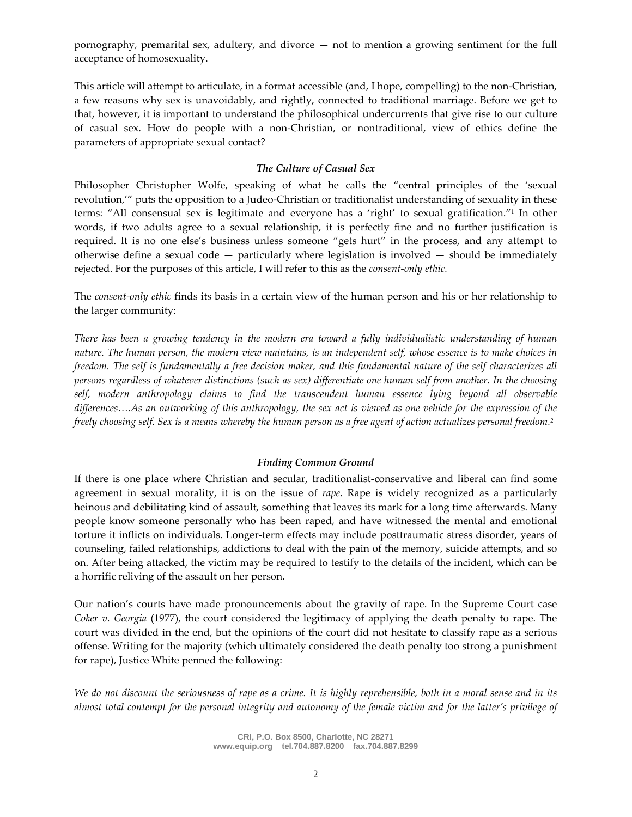pornography, premarital sex, adultery, and divorce — not to mention a growing sentiment for the full acceptance of homosexuality.

This article will attempt to articulate, in a format accessible (and, I hope, compelling) to the non-Christian, a few reasons why sex is unavoidably, and rightly, connected to traditional marriage. Before we get to that, however, it is important to understand the philosophical undercurrents that give rise to our culture of casual sex. How do people with a non-Christian, or nontraditional, view of ethics define the parameters of appropriate sexual contact?

#### *The Culture of Casual Sex*

Philosopher Christopher Wolfe, speaking of what he calls the "central principles of the 'sexual revolution,'" puts the opposition to a Judeo-Christian or traditionalist understanding of sexuality in these terms: "All consensual sex is legitimate and everyone has a 'right' to sexual gratification."<sup>1</sup> In other words, if two adults agree to a sexual relationship, it is perfectly fine and no further justification is required. It is no one else's business unless someone "gets hurt" in the process, and any attempt to otherwise define a sexual code — particularly where legislation is involved — should be immediately rejected. For the purposes of this article, I will refer to this as the *consent-only ethic.*

The *consent-only ethic* finds its basis in a certain view of the human person and his or her relationship to the larger community:

*There has been a growing tendency in the modern era toward a fully individualistic understanding of human nature. The human person, the modern view maintains, is an independent self, whose essence is to make choices in freedom. The self is fundamentally a free decision maker, and this fundamental nature of the self characterizes all persons regardless of whatever distinctions (such as sex) differentiate one human self from another. In the choosing self, modern anthropology claims to find the transcendent human essence lying beyond all observable differences….As an outworking of this anthropology, the sex act is viewed as one vehicle for the expression of the freely choosing self. Sex is a means whereby the human person as a free agent of action actualizes personal freedom.<sup>2</sup>*

#### *Finding Common Ground*

If there is one place where Christian and secular, traditionalist-conservative and liberal can find some agreement in sexual morality, it is on the issue of *rape*. Rape is widely recognized as a particularly heinous and debilitating kind of assault, something that leaves its mark for a long time afterwards. Many people know someone personally who has been raped, and have witnessed the mental and emotional torture it inflicts on individuals. Longer-term effects may include posttraumatic stress disorder, years of counseling, failed relationships, addictions to deal with the pain of the memory, suicide attempts, and so on. After being attacked, the victim may be required to testify to the details of the incident, which can be a horrific reliving of the assault on her person.

Our nation's courts have made pronouncements about the gravity of rape. In the Supreme Court case *Coker v. Georgia* (1977), the court considered the legitimacy of applying the death penalty to rape. The court was divided in the end, but the opinions of the court did not hesitate to classify rape as a serious offense. Writing for the majority (which ultimately considered the death penalty too strong a punishment for rape), Justice White penned the following:

*We do not discount the seriousness of rape as a crime. It is highly reprehensible, both in a moral sense and in its almost total contempt for the personal integrity and autonomy of the female victim and for the latter's privilege of*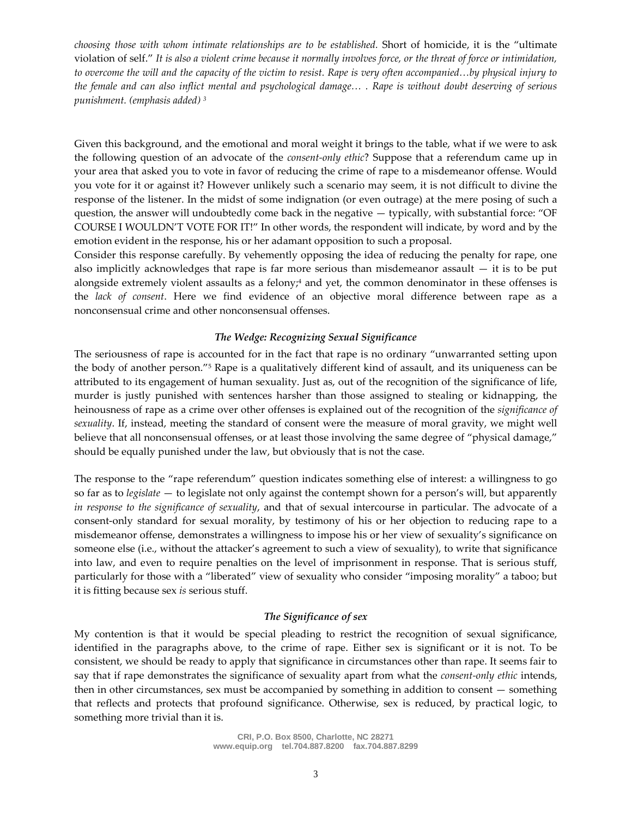*choosing those with whom intimate relationships are to be established.* Short of homicide, it is the "ultimate violation of self." *It is also a violent crime because it normally involves force, or the threat of force or intimidation, to overcome the will and the capacity of the victim to resist. Rape is very often accompanied…by physical injury to the female and can also inflict mental and psychological damage… . Rape is without doubt deserving of serious punishment. (emphasis added) <sup>3</sup>*

Given this background, and the emotional and moral weight it brings to the table, what if we were to ask the following question of an advocate of the *consent-only ethic*? Suppose that a referendum came up in your area that asked you to vote in favor of reducing the crime of rape to a misdemeanor offense. Would you vote for it or against it? However unlikely such a scenario may seem, it is not difficult to divine the response of the listener. In the midst of some indignation (or even outrage) at the mere posing of such a question, the answer will undoubtedly come back in the negative — typically, with substantial force: "OF COURSE I WOULDN'T VOTE FOR IT!" In other words, the respondent will indicate, by word and by the emotion evident in the response, his or her adamant opposition to such a proposal.

Consider this response carefully. By vehemently opposing the idea of reducing the penalty for rape, one also implicitly acknowledges that rape is far more serious than misdemeanor assault  $-$  it is to be put alongside extremely violent assaults as a felony;<sup>4</sup> and yet, the common denominator in these offenses is the *lack of consent*. Here we find evidence of an objective moral difference between rape as a nonconsensual crime and other nonconsensual offenses.

# *The Wedge: Recognizing Sexual Significance*

The seriousness of rape is accounted for in the fact that rape is no ordinary "unwarranted setting upon the body of another person."<sup>5</sup> Rape is a qualitatively different kind of assault, and its uniqueness can be attributed to its engagement of human sexuality. Just as, out of the recognition of the significance of life, murder is justly punished with sentences harsher than those assigned to stealing or kidnapping, the heinousness of rape as a crime over other offenses is explained out of the recognition of the *significance of sexuality*. If, instead, meeting the standard of consent were the measure of moral gravity, we might well believe that all nonconsensual offenses, or at least those involving the same degree of "physical damage," should be equally punished under the law, but obviously that is not the case.

The response to the "rape referendum" question indicates something else of interest: a willingness to go so far as to *legislate* — to legislate not only against the contempt shown for a person's will, but apparently *in response to the significance of sexuality*, and that of sexual intercourse in particular. The advocate of a consent-only standard for sexual morality, by testimony of his or her objection to reducing rape to a misdemeanor offense, demonstrates a willingness to impose his or her view of sexuality's significance on someone else (i.e., without the attacker's agreement to such a view of sexuality), to write that significance into law, and even to require penalties on the level of imprisonment in response. That is serious stuff, particularly for those with a "liberated" view of sexuality who consider "imposing morality" a taboo; but it is fitting because sex *is* serious stuff.

#### *The Significance of sex*

My contention is that it would be special pleading to restrict the recognition of sexual significance, identified in the paragraphs above, to the crime of rape. Either sex is significant or it is not. To be consistent, we should be ready to apply that significance in circumstances other than rape. It seems fair to say that if rape demonstrates the significance of sexuality apart from what the *consent-only ethic* intends, then in other circumstances, sex must be accompanied by something in addition to consent — something that reflects and protects that profound significance. Otherwise, sex is reduced, by practical logic, to something more trivial than it is.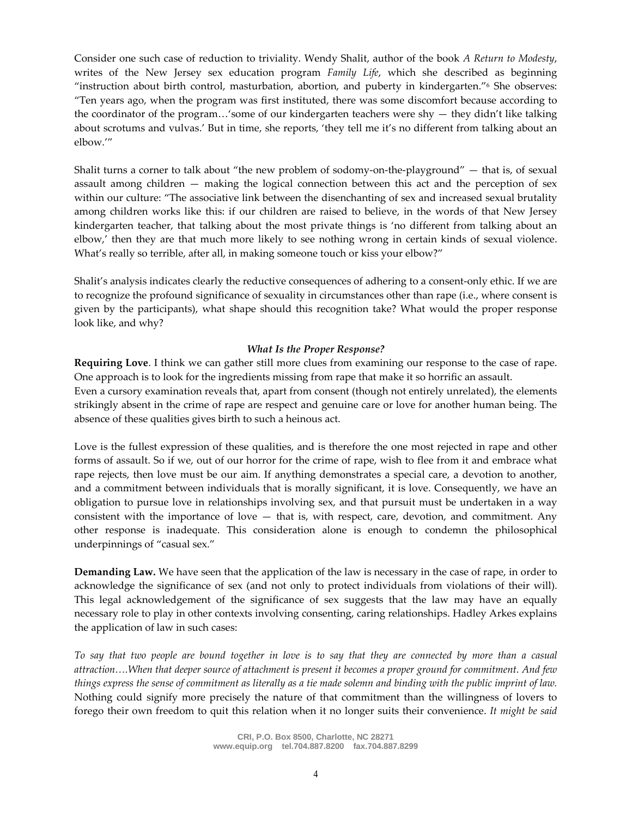Consider one such case of reduction to triviality. Wendy Shalit, author of the book *A Return to Modesty*, writes of the New Jersey sex education program *Family Life*, which she described as beginning "instruction about birth control, masturbation, abortion, and puberty in kindergarten."<sup>6</sup> She observes: "Ten years ago, when the program was first instituted, there was some discomfort because according to the coordinator of the program…'some of our kindergarten teachers were shy — they didn't like talking about scrotums and vulvas.' But in time, she reports, 'they tell me it's no different from talking about an elbow.'"

Shalit turns a corner to talk about "the new problem of sodomy-on-the-playground" — that is, of sexual assault among children — making the logical connection between this act and the perception of sex within our culture: "The associative link between the disenchanting of sex and increased sexual brutality among children works like this: if our children are raised to believe, in the words of that New Jersey kindergarten teacher, that talking about the most private things is 'no different from talking about an elbow,' then they are that much more likely to see nothing wrong in certain kinds of sexual violence. What's really so terrible, after all, in making someone touch or kiss your elbow?"

Shalit's analysis indicates clearly the reductive consequences of adhering to a consent-only ethic. If we are to recognize the profound significance of sexuality in circumstances other than rape (i.e., where consent is given by the participants), what shape should this recognition take? What would the proper response look like, and why?

# *What Is the Proper Response?*

**Requiring Love**. I think we can gather still more clues from examining our response to the case of rape. One approach is to look for the ingredients missing from rape that make it so horrific an assault. Even a cursory examination reveals that, apart from consent (though not entirely unrelated), the elements strikingly absent in the crime of rape are respect and genuine care or love for another human being. The absence of these qualities gives birth to such a heinous act.

Love is the fullest expression of these qualities, and is therefore the one most rejected in rape and other forms of assault. So if we, out of our horror for the crime of rape, wish to flee from it and embrace what rape rejects, then love must be our aim. If anything demonstrates a special care, a devotion to another, and a commitment between individuals that is morally significant, it is love. Consequently, we have an obligation to pursue love in relationships involving sex, and that pursuit must be undertaken in a way consistent with the importance of love — that is, with respect, care, devotion, and commitment. Any other response is inadequate. This consideration alone is enough to condemn the philosophical underpinnings of "casual sex."

**Demanding Law.** We have seen that the application of the law is necessary in the case of rape, in order to acknowledge the significance of sex (and not only to protect individuals from violations of their will). This legal acknowledgement of the significance of sex suggests that the law may have an equally necessary role to play in other contexts involving consenting, caring relationships. Hadley Arkes explains the application of law in such cases:

*To say that two people are bound together in love is to say that they are connected by more than a casual attraction….When that deeper source of attachment is present it becomes a proper ground for commitment. And few things express the sense of commitment as literally as a tie made solemn and binding with the public imprint of law.* Nothing could signify more precisely the nature of that commitment than the willingness of lovers to forego their own freedom to quit this relation when it no longer suits their convenience. *It might be said*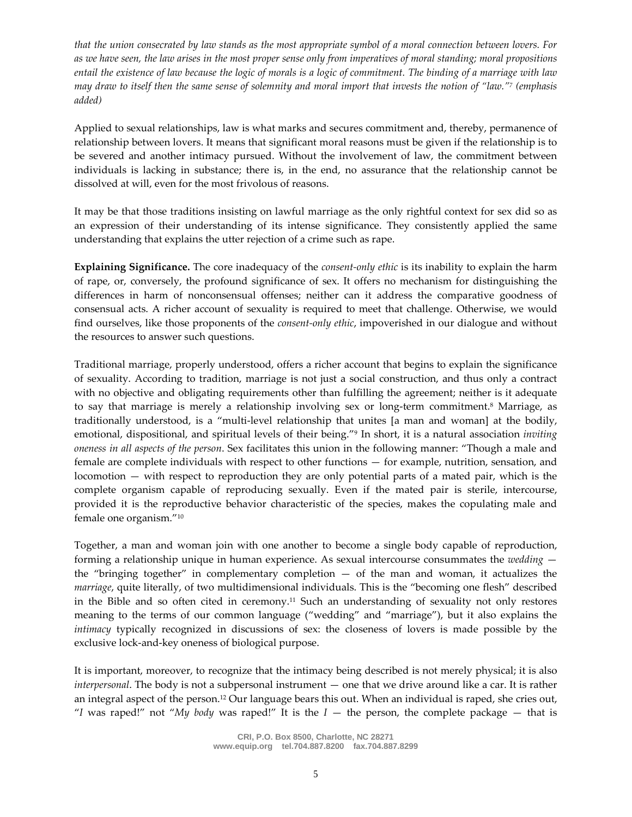*that the union consecrated by law stands as the most appropriate symbol of a moral connection between lovers. For as we have seen, the law arises in the most proper sense only from imperatives of moral standing; moral propositions entail the existence of law because the logic of morals is a logic of commitment. The binding of a marriage with law may draw to itself then the same sense of solemnity and moral import that invests the notion of "law."<sup>7</sup> (emphasis added)*

Applied to sexual relationships, law is what marks and secures commitment and, thereby, permanence of relationship between lovers. It means that significant moral reasons must be given if the relationship is to be severed and another intimacy pursued. Without the involvement of law, the commitment between individuals is lacking in substance; there is, in the end, no assurance that the relationship cannot be dissolved at will, even for the most frivolous of reasons.

It may be that those traditions insisting on lawful marriage as the only rightful context for sex did so as an expression of their understanding of its intense significance. They consistently applied the same understanding that explains the utter rejection of a crime such as rape.

**Explaining Significance.** The core inadequacy of the *consent-only ethic* is its inability to explain the harm of rape, or, conversely, the profound significance of sex. It offers no mechanism for distinguishing the differences in harm of nonconsensual offenses; neither can it address the comparative goodness of consensual acts. A richer account of sexuality is required to meet that challenge. Otherwise, we would find ourselves, like those proponents of the *consent-only ethic*, impoverished in our dialogue and without the resources to answer such questions.

Traditional marriage, properly understood, offers a richer account that begins to explain the significance of sexuality. According to tradition, marriage is not just a social construction, and thus only a contract with no objective and obligating requirements other than fulfilling the agreement; neither is it adequate to say that marriage is merely a relationship involving sex or long-term commitment.<sup>8</sup> Marriage, as traditionally understood, is a "multi-level relationship that unites [a man and woman] at the bodily, emotional, dispositional, and spiritual levels of their being."<sup>9</sup> In short, it is a natural association *inviting oneness in all aspects of the person*. Sex facilitates this union in the following manner: "Though a male and female are complete individuals with respect to other functions — for example, nutrition, sensation, and locomotion — with respect to reproduction they are only potential parts of a mated pair, which is the complete organism capable of reproducing sexually. Even if the mated pair is sterile, intercourse, provided it is the reproductive behavior characteristic of the species, makes the copulating male and female one organism."<sup>10</sup>

Together, a man and woman join with one another to become a single body capable of reproduction, forming a relationship unique in human experience. As sexual intercourse consummates the *wedding* the "bringing together" in complementary completion  $-$  of the man and woman, it actualizes the *marriage*, quite literally, of two multidimensional individuals. This is the "becoming one flesh" described in the Bible and so often cited in ceremony.<sup>11</sup> Such an understanding of sexuality not only restores meaning to the terms of our common language ("wedding" and "marriage"), but it also explains the *intimacy* typically recognized in discussions of sex: the closeness of lovers is made possible by the exclusive lock-and-key oneness of biological purpose.

It is important, moreover, to recognize that the intimacy being described is not merely physical; it is also *interpersonal*. The body is not a subpersonal instrument — one that we drive around like a car. It is rather an integral aspect of the person.<sup>12</sup> Our language bears this out. When an individual is raped, she cries out, "*I* was raped!" not "*My body* was raped!" It is the  $I$  — the person, the complete package — that is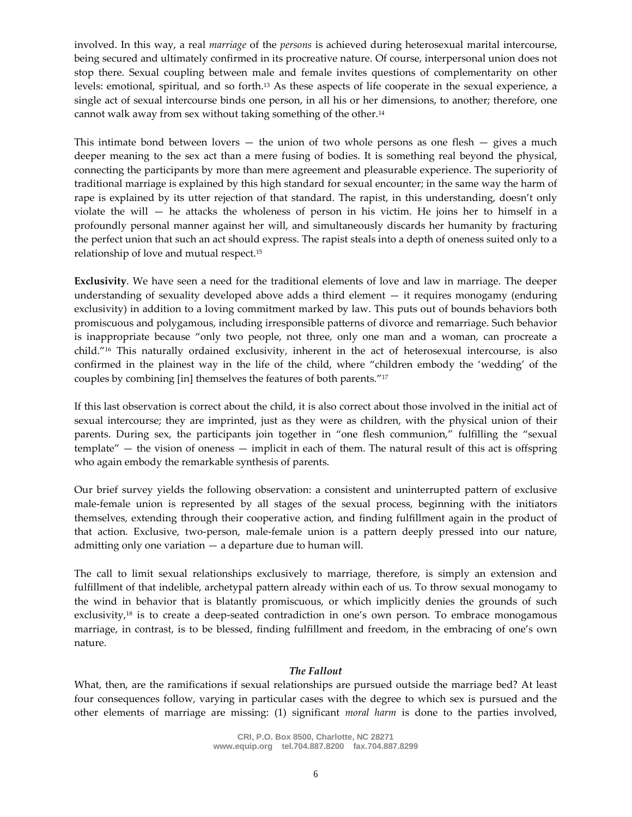involved. In this way, a real *marriage* of the *persons* is achieved during heterosexual marital intercourse, being secured and ultimately confirmed in its procreative nature. Of course, interpersonal union does not stop there. Sexual coupling between male and female invites questions of complementarity on other levels: emotional, spiritual, and so forth.<sup>13</sup> As these aspects of life cooperate in the sexual experience, a single act of sexual intercourse binds one person, in all his or her dimensions, to another; therefore, one cannot walk away from sex without taking something of the other.<sup>14</sup>

This intimate bond between lovers  $-$  the union of two whole persons as one flesh  $-$  gives a much deeper meaning to the sex act than a mere fusing of bodies. It is something real beyond the physical, connecting the participants by more than mere agreement and pleasurable experience. The superiority of traditional marriage is explained by this high standard for sexual encounter; in the same way the harm of rape is explained by its utter rejection of that standard. The rapist, in this understanding, doesn't only violate the will — he attacks the wholeness of person in his victim. He joins her to himself in a profoundly personal manner against her will, and simultaneously discards her humanity by fracturing the perfect union that such an act should express. The rapist steals into a depth of oneness suited only to a relationship of love and mutual respect.<sup>15</sup>

**Exclusivity**. We have seen a need for the traditional elements of love and law in marriage. The deeper understanding of sexuality developed above adds a third element  $-$  it requires monogamy (enduring exclusivity) in addition to a loving commitment marked by law. This puts out of bounds behaviors both promiscuous and polygamous, including irresponsible patterns of divorce and remarriage. Such behavior is inappropriate because "only two people, not three, only one man and a woman, can procreate a child."<sup>16</sup> This naturally ordained exclusivity, inherent in the act of heterosexual intercourse, is also confirmed in the plainest way in the life of the child, where "children embody the 'wedding' of the couples by combining [in] themselves the features of both parents."<sup>17</sup>

If this last observation is correct about the child, it is also correct about those involved in the initial act of sexual intercourse; they are imprinted, just as they were as children, with the physical union of their parents. During sex, the participants join together in "one flesh communion," fulfilling the "sexual template" — the vision of oneness — implicit in each of them. The natural result of this act is offspring who again embody the remarkable synthesis of parents.

Our brief survey yields the following observation: a consistent and uninterrupted pattern of exclusive male-female union is represented by all stages of the sexual process, beginning with the initiators themselves, extending through their cooperative action, and finding fulfillment again in the product of that action. Exclusive, two-person, male-female union is a pattern deeply pressed into our nature, admitting only one variation — a departure due to human will.

The call to limit sexual relationships exclusively to marriage, therefore, is simply an extension and fulfillment of that indelible, archetypal pattern already within each of us. To throw sexual monogamy to the wind in behavior that is blatantly promiscuous, or which implicitly denies the grounds of such exclusivity,<sup>18</sup> is to create a deep-seated contradiction in one's own person. To embrace monogamous marriage, in contrast, is to be blessed, finding fulfillment and freedom, in the embracing of one's own nature.

# *The Fallout*

What, then, are the ramifications if sexual relationships are pursued outside the marriage bed? At least four consequences follow, varying in particular cases with the degree to which sex is pursued and the other elements of marriage are missing: (1) significant *moral harm* is done to the parties involved,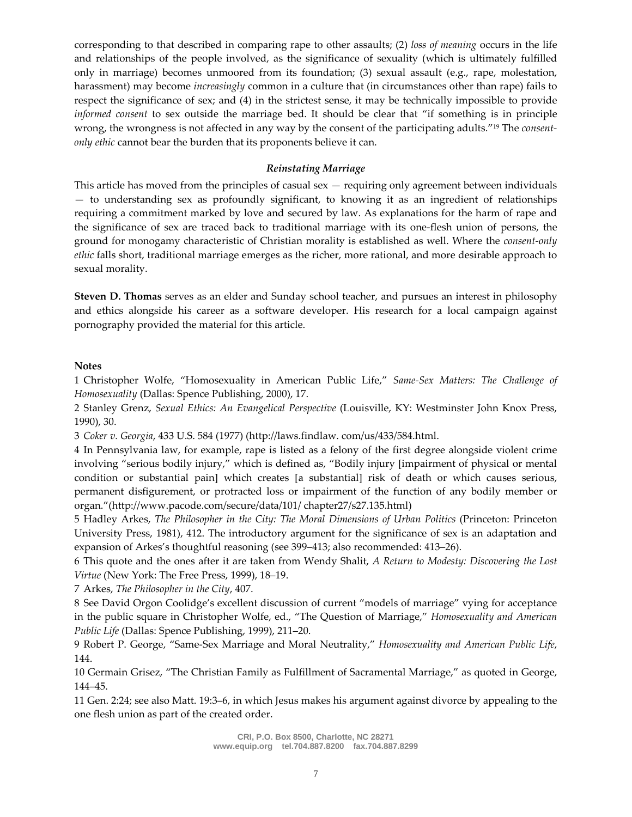corresponding to that described in comparing rape to other assaults; (2) *loss of meaning* occurs in the life and relationships of the people involved, as the significance of sexuality (which is ultimately fulfilled only in marriage) becomes unmoored from its foundation; (3) sexual assault (e.g., rape, molestation, harassment) may become *increasingly* common in a culture that (in circumstances other than rape) fails to respect the significance of sex; and (4) in the strictest sense, it may be technically impossible to provide *informed consent* to sex outside the marriage bed. It should be clear that "if something is in principle wrong, the wrongness is not affected in any way by the consent of the participating adults."<sup>19</sup> The *consentonly ethic* cannot bear the burden that its proponents believe it can.

### *Reinstating Marriage*

This article has moved from the principles of casual sex — requiring only agreement between individuals — to understanding sex as profoundly significant, to knowing it as an ingredient of relationships requiring a commitment marked by love and secured by law. As explanations for the harm of rape and the significance of sex are traced back to traditional marriage with its one-flesh union of persons, the ground for monogamy characteristic of Christian morality is established as well. Where the *consent-only ethic* falls short, traditional marriage emerges as the richer, more rational, and more desirable approach to sexual morality.

**Steven D. Thomas** serves as an elder and Sunday school teacher, and pursues an interest in philosophy and ethics alongside his career as a software developer. His research for a local campaign against pornography provided the material for this article.

# **Notes**

1 Christopher Wolfe, "Homosexuality in American Public Life," *Same-Sex Matters: The Challenge of Homosexuality* (Dallas: Spence Publishing, 2000), 17.

2 Stanley Grenz, *Sexual Ethics: An Evangelical Perspective* (Louisville, KY: Westminster John Knox Press, 1990), 30.

3 *Coker v. Georgia*, 433 U.S. 584 (1977) (http://laws.findlaw. com/us/433/584.html.

4 In Pennsylvania law, for example, rape is listed as a felony of the first degree alongside violent crime involving "serious bodily injury," which is defined as, "Bodily injury [impairment of physical or mental condition or substantial pain] which creates [a substantial] risk of death or which causes serious, permanent disfigurement, or protracted loss or impairment of the function of any bodily member or organ."(http://www.pacode.com/secure/data/101/ chapter27/s27.135.html)

5 Hadley Arkes, *The Philosopher in the City: The Moral Dimensions of Urban Politics* (Princeton: Princeton University Press, 1981), 412. The introductory argument for the significance of sex is an adaptation and expansion of Arkes's thoughtful reasoning (see 399–413; also recommended: 413–26).

6 This quote and the ones after it are taken from Wendy Shalit, *A Return to Modesty: Discovering the Lost Virtue* (New York: The Free Press, 1999), 18–19.

7 Arkes, *The Philosopher in the City*, 407.

8 See David Orgon Coolidge's excellent discussion of current "models of marriage" vying for acceptance in the public square in Christopher Wolfe, ed., "The Question of Marriage," *Homosexuality and American Public Life* (Dallas: Spence Publishing, 1999), 211–20.

9 Robert P. George, "Same-Sex Marriage and Moral Neutrality," *Homosexuality and American Public Life*, 144.

10 Germain Grisez, "The Christian Family as Fulfillment of Sacramental Marriage," as quoted in George, 144–45.

11 Gen. 2:24; see also Matt. 19:3–6, in which Jesus makes his argument against divorce by appealing to the one flesh union as part of the created order.